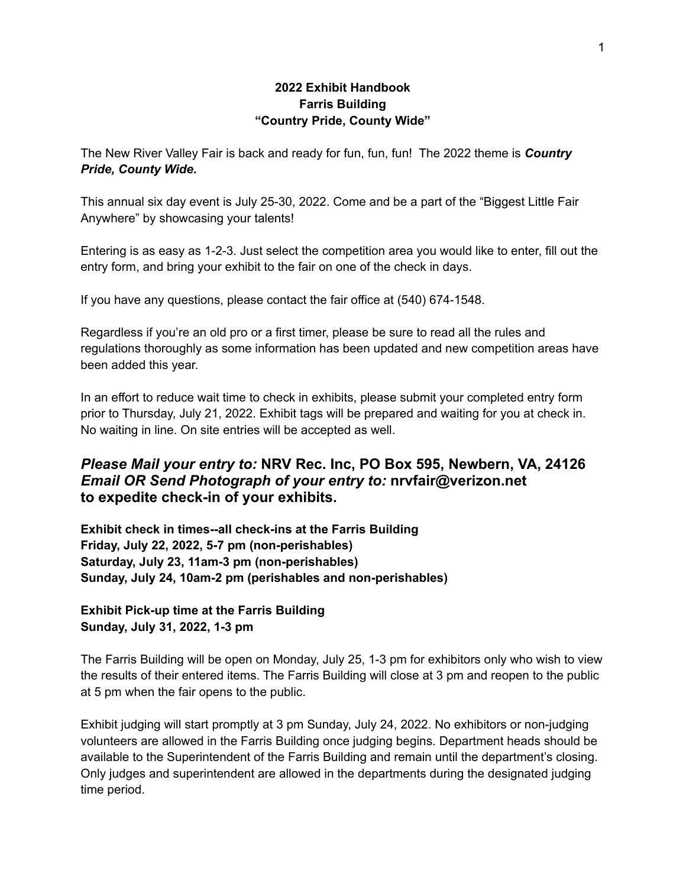#### **2022 Exhibit Handbook Farris Building "Country Pride, County Wide"**

The New River Valley Fair is back and ready for fun, fun, fun! The 2022 theme is *Country Pride, County Wide.*

This annual six day event is July 25-30, 2022. Come and be a part of the "Biggest Little Fair Anywhere" by showcasing your talents!

Entering is as easy as 1-2-3. Just select the competition area you would like to enter, fill out the entry form, and bring your exhibit to the fair on one of the check in days.

If you have any questions, please contact the fair office at (540) 674-1548.

Regardless if you're an old pro or a first timer, please be sure to read all the rules and regulations thoroughly as some information has been updated and new competition areas have been added this year.

In an effort to reduce wait time to check in exhibits, please submit your completed entry form prior to Thursday, July 21, 2022. Exhibit tags will be prepared and waiting for you at check in. No waiting in line. On site entries will be accepted as well.

# *Please Mail your entry to:* **NRV Rec. Inc, PO Box 595, Newbern, VA, 24126** *Email OR Send Photograph of your entry to:* **nrvfair@verizon.net to expedite check-in of your exhibits.**

**Exhibit check in times--all check-ins at the Farris Building Friday, July 22, 2022, 5-7 pm (non-perishables) Saturday, July 23, 11am-3 pm (non-perishables) Sunday, July 24, 10am-2 pm (perishables and non-perishables)**

**Exhibit Pick-up time at the Farris Building Sunday, July 31, 2022, 1-3 pm**

The Farris Building will be open on Monday, July 25, 1-3 pm for exhibitors only who wish to view the results of their entered items. The Farris Building will close at 3 pm and reopen to the public at 5 pm when the fair opens to the public.

Exhibit judging will start promptly at 3 pm Sunday, July 24, 2022. No exhibitors or non-judging volunteers are allowed in the Farris Building once judging begins. Department heads should be available to the Superintendent of the Farris Building and remain until the department's closing. Only judges and superintendent are allowed in the departments during the designated judging time period.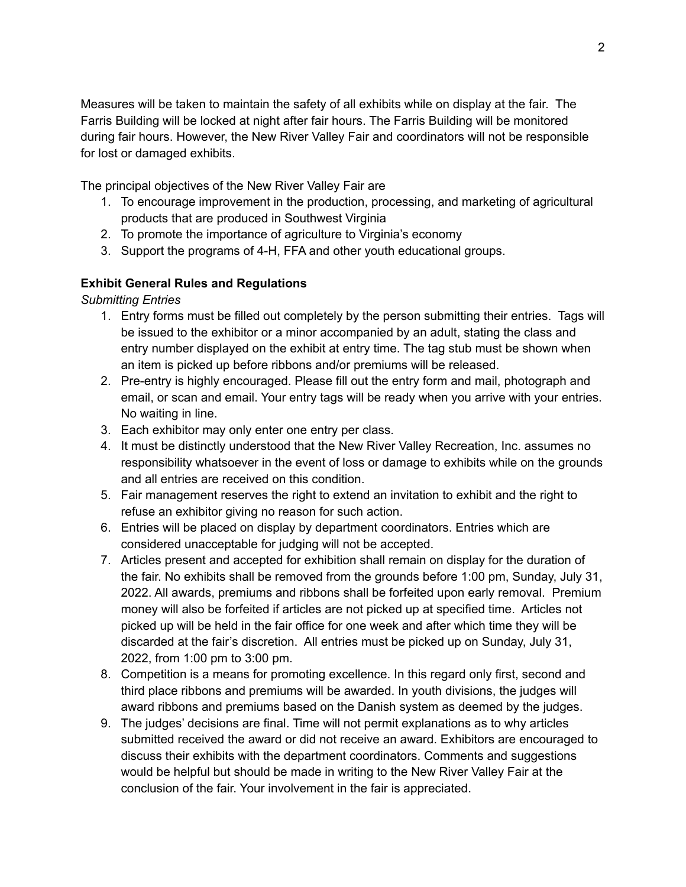Measures will be taken to maintain the safety of all exhibits while on display at the fair. The Farris Building will be locked at night after fair hours. The Farris Building will be monitored during fair hours. However, the New River Valley Fair and coordinators will not be responsible for lost or damaged exhibits.

The principal objectives of the New River Valley Fair are

- 1. To encourage improvement in the production, processing, and marketing of agricultural products that are produced in Southwest Virginia
- 2. To promote the importance of agriculture to Virginia's economy
- 3. Support the programs of 4-H, FFA and other youth educational groups.

### **Exhibit General Rules and Regulations**

*Submitting Entries*

- 1. Entry forms must be filled out completely by the person submitting their entries. Tags will be issued to the exhibitor or a minor accompanied by an adult, stating the class and entry number displayed on the exhibit at entry time. The tag stub must be shown when an item is picked up before ribbons and/or premiums will be released.
- 2. Pre-entry is highly encouraged. Please fill out the entry form and mail, photograph and email, or scan and email. Your entry tags will be ready when you arrive with your entries. No waiting in line.
- 3. Each exhibitor may only enter one entry per class.
- 4. It must be distinctly understood that the New River Valley Recreation, Inc. assumes no responsibility whatsoever in the event of loss or damage to exhibits while on the grounds and all entries are received on this condition.
- 5. Fair management reserves the right to extend an invitation to exhibit and the right to refuse an exhibitor giving no reason for such action.
- 6. Entries will be placed on display by department coordinators. Entries which are considered unacceptable for judging will not be accepted.
- 7. Articles present and accepted for exhibition shall remain on display for the duration of the fair. No exhibits shall be removed from the grounds before 1:00 pm, Sunday, July 31, 2022. All awards, premiums and ribbons shall be forfeited upon early removal. Premium money will also be forfeited if articles are not picked up at specified time. Articles not picked up will be held in the fair office for one week and after which time they will be discarded at the fair's discretion. All entries must be picked up on Sunday, July 31, 2022, from 1:00 pm to 3:00 pm.
- 8. Competition is a means for promoting excellence. In this regard only first, second and third place ribbons and premiums will be awarded. In youth divisions, the judges will award ribbons and premiums based on the Danish system as deemed by the judges.
- 9. The judges' decisions are final. Time will not permit explanations as to why articles submitted received the award or did not receive an award. Exhibitors are encouraged to discuss their exhibits with the department coordinators. Comments and suggestions would be helpful but should be made in writing to the New River Valley Fair at the conclusion of the fair. Your involvement in the fair is appreciated.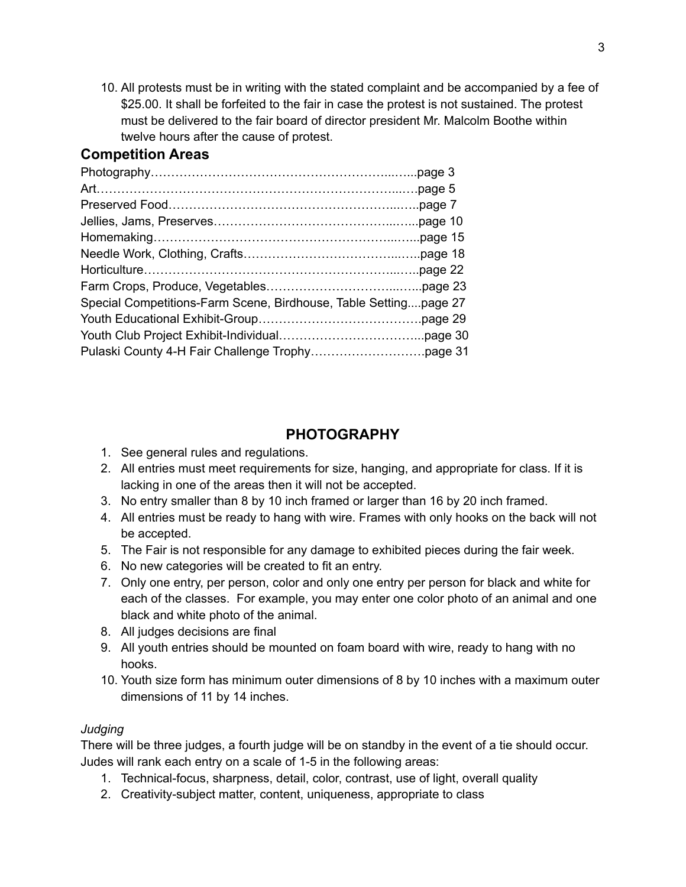10. All protests must be in writing with the stated complaint and be accompanied by a fee of \$25.00. It shall be forfeited to the fair in case the protest is not sustained. The protest must be delivered to the fair board of director president Mr. Malcolm Boothe within twelve hours after the cause of protest.

# **Competition Areas**

| Special Competitions-Farm Scene, Birdhouse, Table Settingpage 27 |  |
|------------------------------------------------------------------|--|
|                                                                  |  |
|                                                                  |  |
|                                                                  |  |

# **PHOTOGRAPHY**

- 1. See general rules and regulations.
- 2. All entries must meet requirements for size, hanging, and appropriate for class. If it is lacking in one of the areas then it will not be accepted.
- 3. No entry smaller than 8 by 10 inch framed or larger than 16 by 20 inch framed.
- 4. All entries must be ready to hang with wire. Frames with only hooks on the back will not be accepted.
- 5. The Fair is not responsible for any damage to exhibited pieces during the fair week.
- 6. No new categories will be created to fit an entry.
- 7. Only one entry, per person, color and only one entry per person for black and white for each of the classes. For example, you may enter one color photo of an animal and one black and white photo of the animal.
- 8. All judges decisions are final
- 9. All youth entries should be mounted on foam board with wire, ready to hang with no hooks.
- 10. Youth size form has minimum outer dimensions of 8 by 10 inches with a maximum outer dimensions of 11 by 14 inches.

# *Judging*

There will be three judges, a fourth judge will be on standby in the event of a tie should occur. Judes will rank each entry on a scale of 1-5 in the following areas:

- 1. Technical-focus, sharpness, detail, color, contrast, use of light, overall quality
- 2. Creativity-subject matter, content, uniqueness, appropriate to class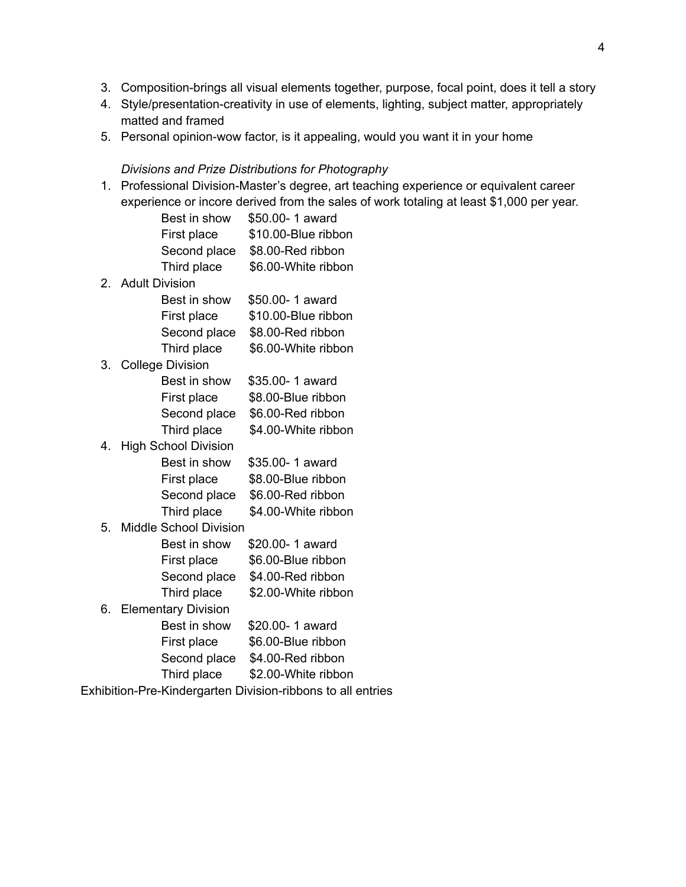- 3. Composition-brings all visual elements together, purpose, focal point, does it tell a story
- 4. Style/presentation-creativity in use of elements, lighting, subject matter, appropriately matted and framed
- 5. Personal opinion-wow factor, is it appealing, would you want it in your home

#### *Divisions and Prize Distributions for Photography*

1. Professional Division-Master's degree, art teaching experience or equivalent career experience or incore derived from the sales of work totaling at least \$1,000 per year.

| Best in show | \$50.00-1 award     |
|--------------|---------------------|
| First place  | \$10.00-Blue ribbon |
| Second place | \$8.00-Red ribbon   |
| Third place  | \$6.00-White ribbon |
|              |                     |

2. Adult Division

| Best in show | \$50.00-1 award     |
|--------------|---------------------|
| First place  | \$10.00-Blue ribbon |
| Second place | \$8.00-Red ribbon   |
| Third place  | \$6.00-White ribbon |
|              |                     |

3. College Division Best in show \$35.00- 1 award

| First place  | \$8.00-Blue ribbon  |
|--------------|---------------------|
| Second place | \$6.00-Red ribbon   |
| Third place  | \$4.00-White ribbon |

| 4. High School Division |                     |
|-------------------------|---------------------|
| Best in show            | \$35.00-1 award     |
| First place             | \$8.00-Blue ribbon  |
| Second place            | \$6.00-Red ribbon   |
| Third place             | \$4.00-White ribbon |

5. Middle School Division Best in show \$20.00- 1 award First place \$6.00-Blue ribbon

| Second place \$4.00-Red ribbon |
|--------------------------------|
|                                |

Third place \$2.00-White ribbon 6. Elementary Division

| <b>Elementary Division</b> |                    |
|----------------------------|--------------------|
| Best in show               | \$20.00-1 award    |
| First place                | \$6.00-Blue ribbon |
| Second place               | \$4.00-Red ribbon  |
|                            |                    |

- Third place \$2.00-White ribbon
- Exhibition-Pre-Kindergarten Division-ribbons to all entries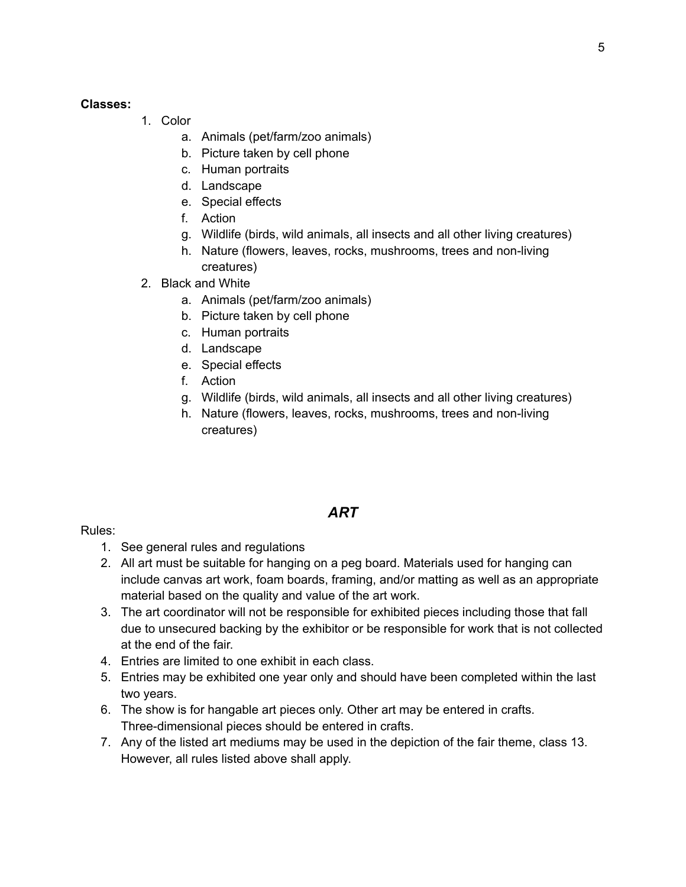#### **Classes:**

- 1. Color
	- a. Animals (pet/farm/zoo animals)
	- b. Picture taken by cell phone
	- c. Human portraits
	- d. Landscape
	- e. Special effects
	- f. Action
	- g. Wildlife (birds, wild animals, all insects and all other living creatures)
	- h. Nature (flowers, leaves, rocks, mushrooms, trees and non-living creatures)
- 2. Black and White
	- a. Animals (pet/farm/zoo animals)
	- b. Picture taken by cell phone
	- c. Human portraits
	- d. Landscape
	- e. Special effects
	- f. Action
	- g. Wildlife (birds, wild animals, all insects and all other living creatures)
	- h. Nature (flowers, leaves, rocks, mushrooms, trees and non-living creatures)

# *ART*

Rules:

- 1. See general rules and regulations
- 2. All art must be suitable for hanging on a peg board. Materials used for hanging can include canvas art work, foam boards, framing, and/or matting as well as an appropriate material based on the quality and value of the art work.
- 3. The art coordinator will not be responsible for exhibited pieces including those that fall due to unsecured backing by the exhibitor or be responsible for work that is not collected at the end of the fair.
- 4. Entries are limited to one exhibit in each class.
- 5. Entries may be exhibited one year only and should have been completed within the last two years.
- 6. The show is for hangable art pieces only. Other art may be entered in crafts. Three-dimensional pieces should be entered in crafts.
- 7. Any of the listed art mediums may be used in the depiction of the fair theme, class 13. However, all rules listed above shall apply.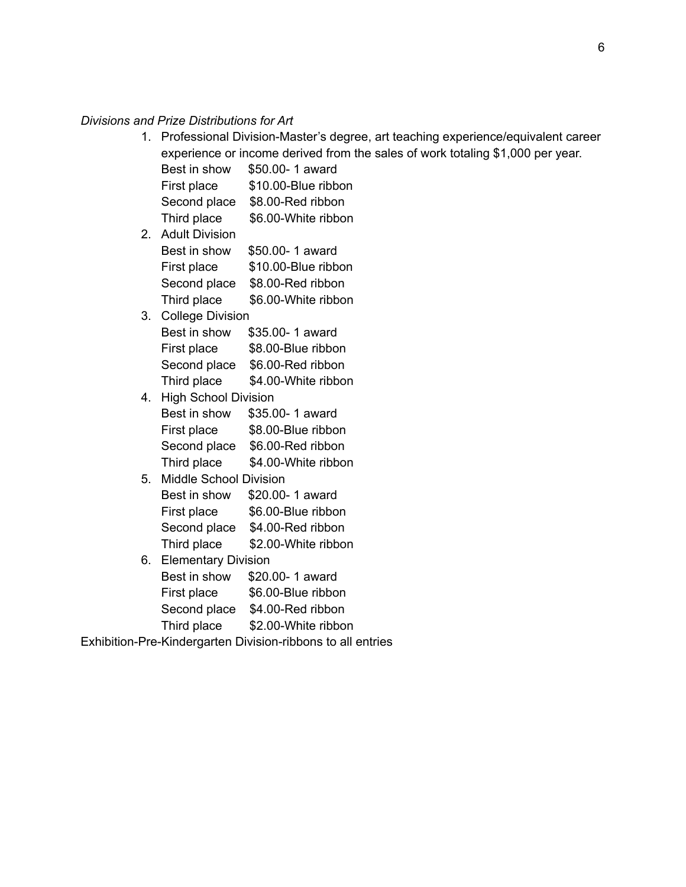#### *Divisions and Prize Distributions for Art*

1. Professional Division-Master's degree, art teaching experience/equivalent career experience or income derived from the sales of work totaling \$1,000 per year.

| Best in show | \$50.00-1 award     |
|--------------|---------------------|
| First place  | \$10.00-Blue ribbon |
| Second place | \$8.00-Red ribbon   |
| Third place  | \$6.00-White ribbon |

| 2. Adult Division |                     |
|-------------------|---------------------|
| Best in show      | \$50.00-1 award     |
| First place       | \$10.00-Blue ribbon |
| Second place      | \$8.00-Red ribbon   |
| Third place       | \$6.00-White ribbon |

# 3. College Division

| Best in show | \$35.00-1 award     |
|--------------|---------------------|
| First place  | \$8.00-Blue ribbon  |
| Second place | \$6.00-Red ribbon   |
| Third place  | \$4.00-White ribbon |

- 4. High School Division Best in show \$35.00- 1 award First place \$8.00-Blue ribbon Second place \$6.00-Red ribbon Third place \$4.00-White ribbon
- 5. Middle School Division

| Best in show | \$20.00-1 award     |
|--------------|---------------------|
| First place  | \$6.00-Blue ribbon  |
| Second place | \$4.00-Red ribbon   |
| Third place  | \$2.00-White ribbon |

6. Elementary Division Best in show \$20.00- 1 award First place \$6.00-Blue ribbon Second place \$4.00-Red ribbon Third place \$2.00-White ribbon

Exhibition-Pre-Kindergarten Division-ribbons to all entries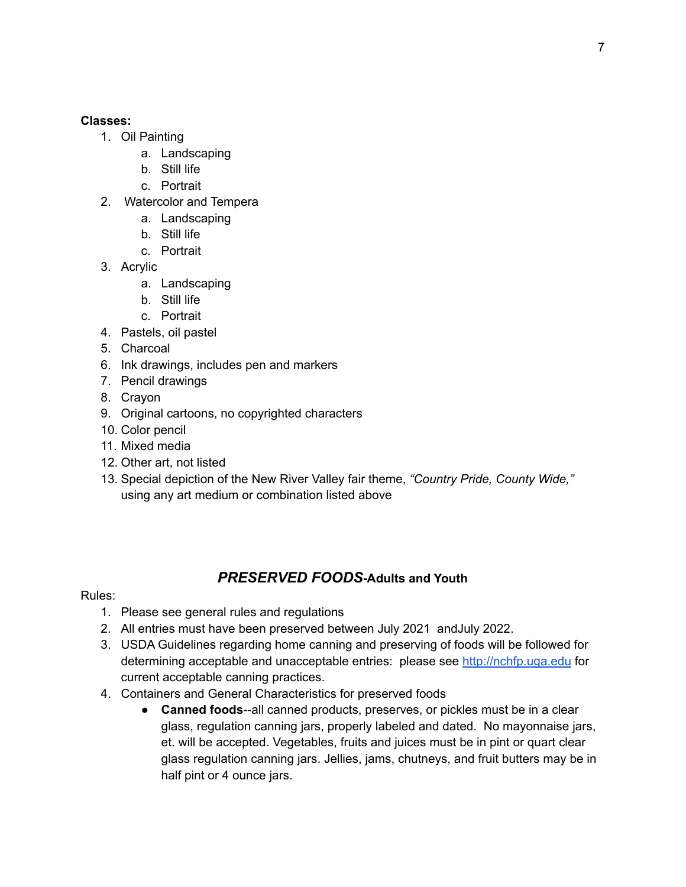#### **Classes:**

- 1. Oil Painting
	- a. Landscaping
	- b. Still life
	- c. Portrait
- 2. Watercolor and Tempera
	- a. Landscaping
	- b. Still life
	- c. Portrait
- 3. Acrylic
	- a. Landscaping
	- b. Still life
	- c. Portrait
- 4. Pastels, oil pastel
- 5. Charcoal
- 6. Ink drawings, includes pen and markers
- 7. Pencil drawings
- 8. Crayon
- 9. Original cartoons, no copyrighted characters
- 10. Color pencil
- 11. Mixed media
- 12. Other art, not listed
- 13. Special depiction of the New River Valley fair theme, *"Country Pride, County Wide,"* using any art medium or combination listed above

# *PRESERVED FOODS***-Adults and Youth**

#### Rules:

- 1. Please see general rules and regulations
- 2. All entries must have been preserved between July 2021 andJuly 2022.
- 3. USDA Guidelines regarding home canning and preserving of foods will be followed for determining acceptable and unacceptable entries: please see <http://nchfp.uga.edu> for current acceptable canning practices.
- 4. Containers and General Characteristics for preserved foods
	- **Canned foods**--all canned products, preserves, or pickles must be in a clear glass, regulation canning jars, properly labeled and dated. No mayonnaise jars, et. will be accepted. Vegetables, fruits and juices must be in pint or quart clear glass regulation canning jars. Jellies, jams, chutneys, and fruit butters may be in half pint or 4 ounce jars.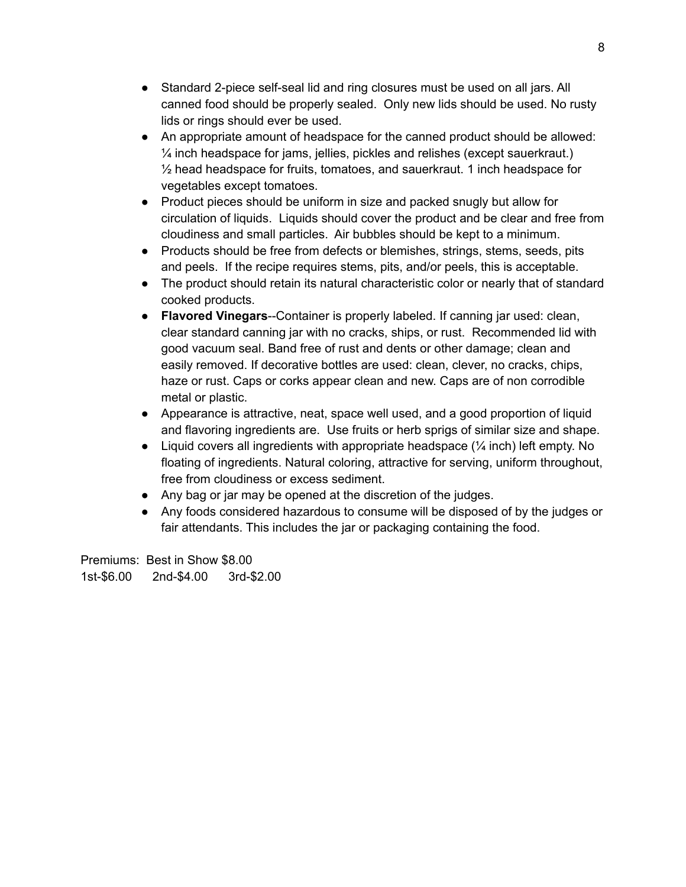- Standard 2-piece self-seal lid and ring closures must be used on all jars. All canned food should be properly sealed. Only new lids should be used. No rusty lids or rings should ever be used.
- An appropriate amount of headspace for the canned product should be allowed: ¼ inch headspace for jams, jellies, pickles and relishes (except sauerkraut.)  $\frac{1}{2}$  head headspace for fruits, tomatoes, and sauerkraut. 1 inch headspace for vegetables except tomatoes.
- Product pieces should be uniform in size and packed snugly but allow for circulation of liquids. Liquids should cover the product and be clear and free from cloudiness and small particles. Air bubbles should be kept to a minimum.
- Products should be free from defects or blemishes, strings, stems, seeds, pits and peels. If the recipe requires stems, pits, and/or peels, this is acceptable.
- The product should retain its natural characteristic color or nearly that of standard cooked products.
- **Flavored Vinegars**--Container is properly labeled. If canning jar used: clean, clear standard canning jar with no cracks, ships, or rust. Recommended lid with good vacuum seal. Band free of rust and dents or other damage; clean and easily removed. If decorative bottles are used: clean, clever, no cracks, chips, haze or rust. Caps or corks appear clean and new. Caps are of non corrodible metal or plastic.
- Appearance is attractive, neat, space well used, and a good proportion of liquid and flavoring ingredients are. Use fruits or herb sprigs of similar size and shape.
- Liquid covers all ingredients with appropriate headspace (¼ inch) left empty. No floating of ingredients. Natural coloring, attractive for serving, uniform throughout, free from cloudiness or excess sediment.
- Any bag or jar may be opened at the discretion of the judges.
- Any foods considered hazardous to consume will be disposed of by the judges or fair attendants. This includes the jar or packaging containing the food.

Premiums: Best in Show \$8.00 1st-\$6.00 2nd-\$4.00 3rd-\$2.00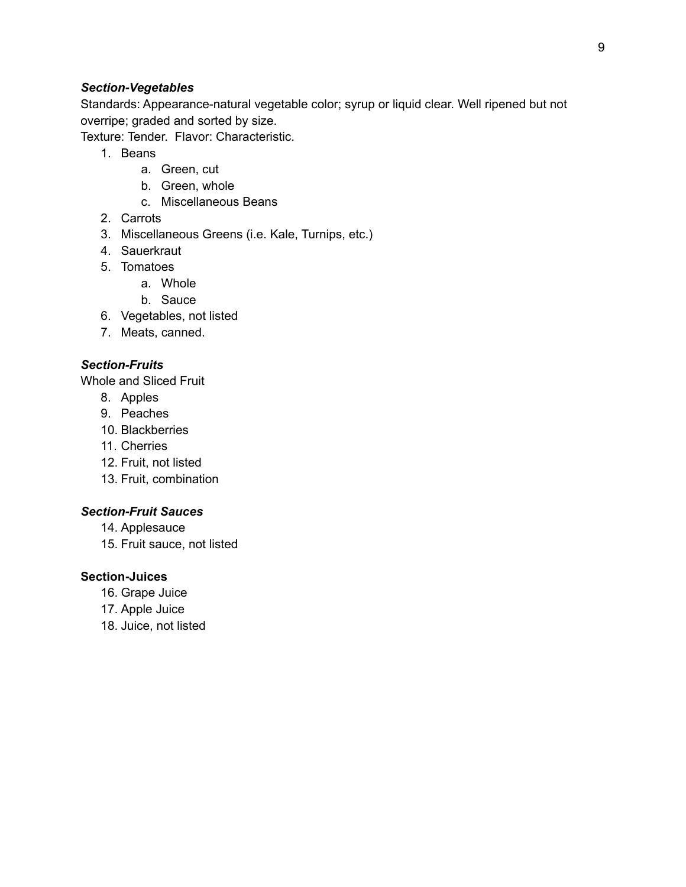### *Section-Vegetables*

Standards: Appearance-natural vegetable color; syrup or liquid clear. Well ripened but not overripe; graded and sorted by size.

Texture: Tender. Flavor: Characteristic.

- 1. Beans
	- a. Green, cut
	- b. Green, whole
	- c. Miscellaneous Beans
- 2. Carrots
- 3. Miscellaneous Greens (i.e. Kale, Turnips, etc.)
- 4. Sauerkraut
- 5. Tomatoes
	- a. Whole
	- b. Sauce
- 6. Vegetables, not listed
- 7. Meats, canned.

#### *Section-Fruits*

Whole and Sliced Fruit

- 8. Apples
- 9. Peaches
- 10. Blackberries
- 11. Cherries
- 12. Fruit, not listed
- 13. Fruit, combination

#### *Section-Fruit Sauces*

- 14. Applesauce
- 15. Fruit sauce, not listed

#### **Section-Juices**

- 16. Grape Juice
- 17. Apple Juice
- 18. Juice, not listed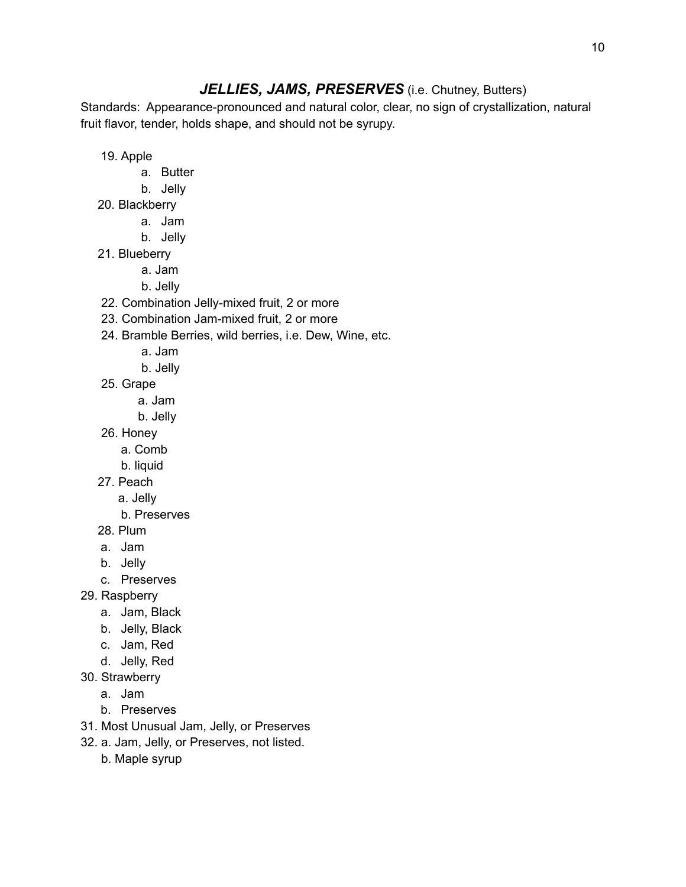# *JELLIES, JAMS, PRESERVES* (i.e. Chutney, Butters)

Standards: Appearance-pronounced and natural color, clear, no sign of crystallization, natural fruit flavor, tender, holds shape, and should not be syrupy.

19. Apple

- a. Butter
- b. Jelly
- 20. Blackberry
	- a. Jam
	- b. Jelly
- 21. Blueberry
	- a. Jam
	- b. Jelly
- 22. Combination Jelly-mixed fruit, 2 or more
- 23. Combination Jam-mixed fruit, 2 or more
- 24. Bramble Berries, wild berries, i.e. Dew, Wine, etc.
	- a. Jam
	- b. Jelly
- 25. Grape
	- a. Jam
	- b. Jelly
- 26. Honey
	- a. Comb
	- b. liquid
- 27. Peach
	- a. Jelly
	- b. Preserves
- 28. Plum
- a. Jam
- b. Jelly
- c. Preserves
- 29. Raspberry
	- a. Jam, Black
	- b. Jelly, Black
	- c. Jam, Red
	- d. Jelly, Red
- 30. Strawberry
	- a. Jam
	- b. Preserves
- 31. Most Unusual Jam, Jelly, or Preserves
- 32. a. Jam, Jelly, or Preserves, not listed.
	- b. Maple syrup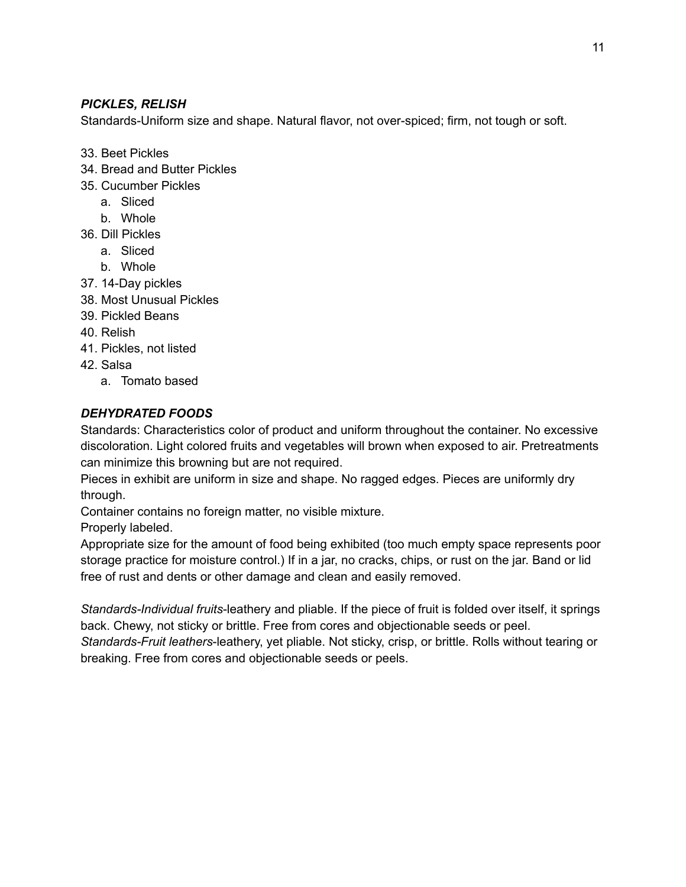### *PICKLES, RELISH*

Standards-Uniform size and shape. Natural flavor, not over-spiced; firm, not tough or soft.

- 33. Beet Pickles
- 34. Bread and Butter Pickles
- 35. Cucumber Pickles
	- a. Sliced
	- b. Whole
- 36. Dill Pickles
	- a. Sliced
	- b. Whole
- 37. 14-Day pickles
- 38. Most Unusual Pickles
- 39. Pickled Beans
- 40. Relish
- 41. Pickles, not listed
- 42. Salsa
	- a. Tomato based

### *DEHYDRATED FOODS*

Standards: Characteristics color of product and uniform throughout the container. No excessive discoloration. Light colored fruits and vegetables will brown when exposed to air. Pretreatments can minimize this browning but are not required.

Pieces in exhibit are uniform in size and shape. No ragged edges. Pieces are uniformly dry through.

Container contains no foreign matter, no visible mixture.

Properly labeled.

Appropriate size for the amount of food being exhibited (too much empty space represents poor storage practice for moisture control.) If in a jar, no cracks, chips, or rust on the jar. Band or lid free of rust and dents or other damage and clean and easily removed.

*Standards-Individual fruits*-leathery and pliable. If the piece of fruit is folded over itself, it springs back. Chewy, not sticky or brittle. Free from cores and objectionable seeds or peel.

*Standards-Fruit leathers*-leathery, yet pliable. Not sticky, crisp, or brittle. Rolls without tearing or breaking. Free from cores and objectionable seeds or peels.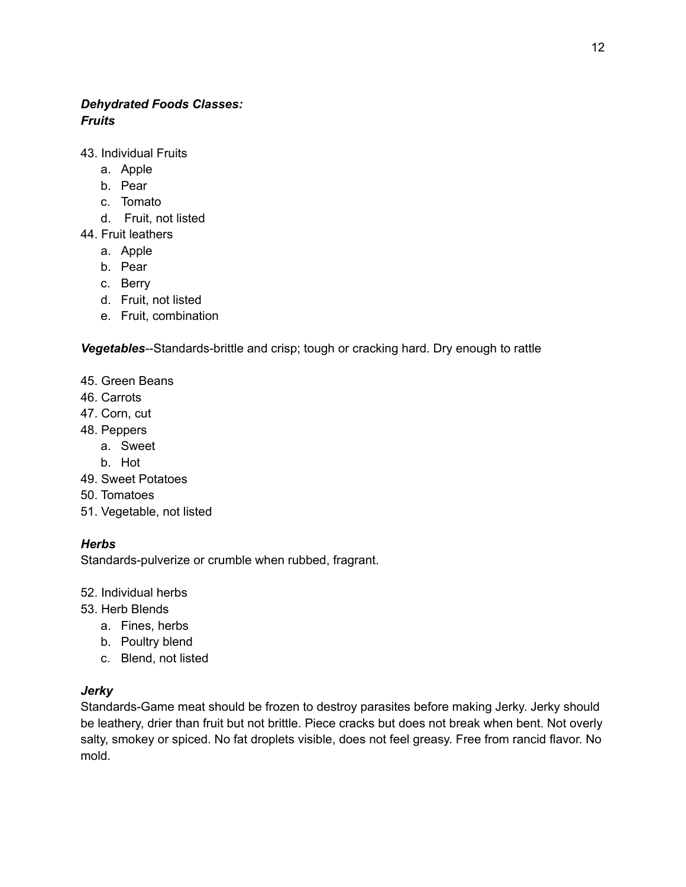# *Dehydrated Foods Classes: Fruits*

- 43. Individual Fruits
	- a. Apple
	- b. Pear
	- c. Tomato
	- d. Fruit, not listed
- 44. Fruit leathers
	- a. Apple
	- b. Pear
	- c. Berry
	- d. Fruit, not listed
	- e. Fruit, combination

*Vegetables*--Standards-brittle and crisp; tough or cracking hard. Dry enough to rattle

- 45. Green Beans
- 46. Carrots
- 47. Corn, cut
- 48. Peppers
	- a. Sweet
	- b. Hot
- 49. Sweet Potatoes
- 50. Tomatoes
- 51. Vegetable, not listed

#### *Herbs*

Standards-pulverize or crumble when rubbed, fragrant.

- 52. Individual herbs
- 53. Herb Blends
	- a. Fines, herbs
	- b. Poultry blend
	- c. Blend, not listed

#### *Jerky*

Standards-Game meat should be frozen to destroy parasites before making Jerky. Jerky should be leathery, drier than fruit but not brittle. Piece cracks but does not break when bent. Not overly salty, smokey or spiced. No fat droplets visible, does not feel greasy. Free from rancid flavor. No mold.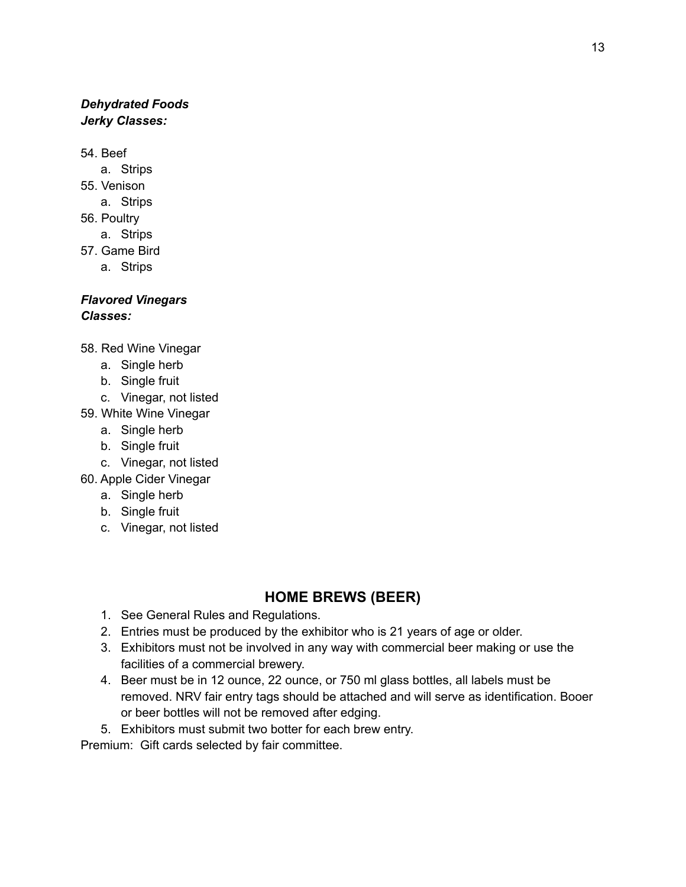# *Dehydrated Foods Jerky Classes:*

54. Beef

- a. Strips
- 55. Venison
	- a. Strips
- 56. Poultry
	- a. Strips
- 57. Game Bird
	- a. Strips

#### *Flavored Vinegars Classes:*

- 58. Red Wine Vinegar
	- a. Single herb
	- b. Single fruit
	- c. Vinegar, not listed
- 59. White Wine Vinegar
	- a. Single herb
	- b. Single fruit
	- c. Vinegar, not listed
- 60. Apple Cider Vinegar
	- a. Single herb
	- b. Single fruit
	- c. Vinegar, not listed

# **HOME BREWS (BEER)**

- 1. See General Rules and Regulations.
- 2. Entries must be produced by the exhibitor who is 21 years of age or older.
- 3. Exhibitors must not be involved in any way with commercial beer making or use the facilities of a commercial brewery.
- 4. Beer must be in 12 ounce, 22 ounce, or 750 ml glass bottles, all labels must be removed. NRV fair entry tags should be attached and will serve as identification. Booer or beer bottles will not be removed after edging.
- 5. Exhibitors must submit two botter for each brew entry.

Premium: Gift cards selected by fair committee.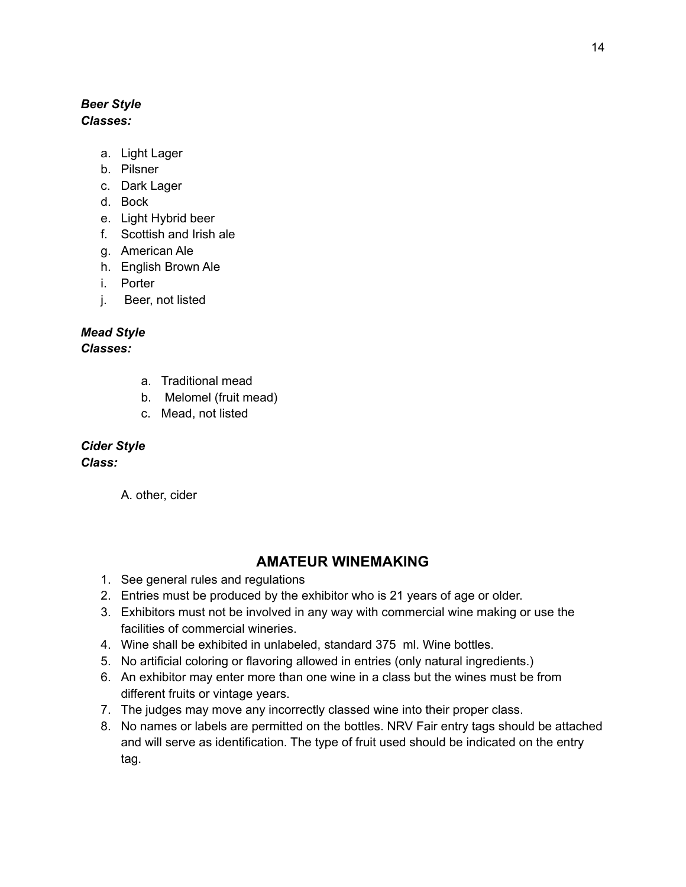#### *Beer Style Classes:*

- a. Light Lager
- b. Pilsner
- c. Dark Lager
- d. Bock
- e. Light Hybrid beer
- f. Scottish and Irish ale
- g. American Ale
- h. English Brown Ale
- i. Porter
- j. Beer, not listed

### *Mead Style*

*Classes:*

- a. Traditional mead
- b. Melomel (fruit mead)
- c. Mead, not listed

### *Cider Style*

#### *Class:*

A. other, cider

# **AMATEUR WINEMAKING**

- 1. See general rules and regulations
- 2. Entries must be produced by the exhibitor who is 21 years of age or older.
- 3. Exhibitors must not be involved in any way with commercial wine making or use the facilities of commercial wineries.
- 4. Wine shall be exhibited in unlabeled, standard 375 ml. Wine bottles.
- 5. No artificial coloring or flavoring allowed in entries (only natural ingredients.)
- 6. An exhibitor may enter more than one wine in a class but the wines must be from different fruits or vintage years.
- 7. The judges may move any incorrectly classed wine into their proper class.
- 8. No names or labels are permitted on the bottles. NRV Fair entry tags should be attached and will serve as identification. The type of fruit used should be indicated on the entry tag.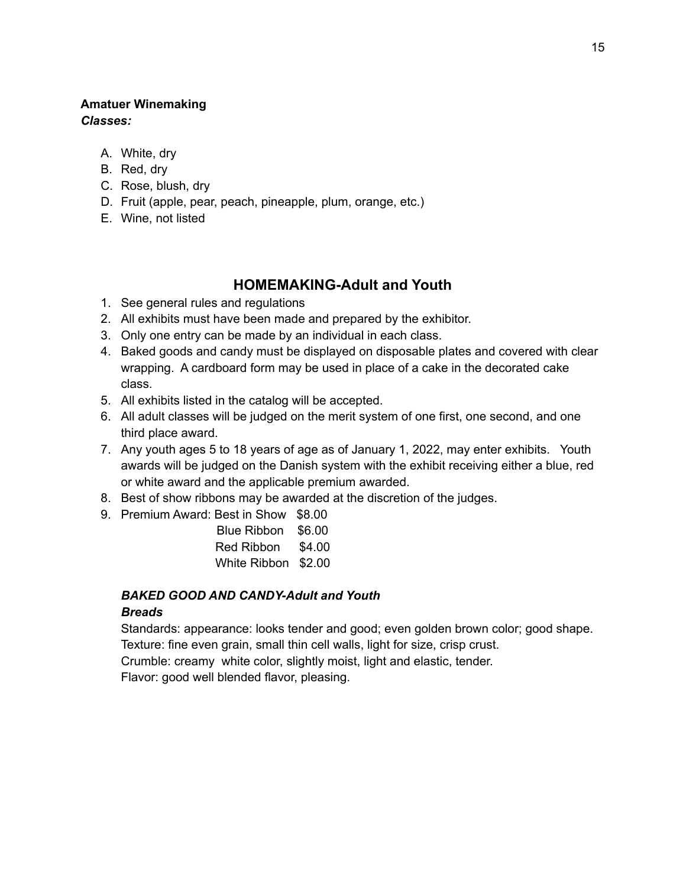# **Amatuer Winemaking**

*Classes:*

- A. White, dry
- B. Red, dry
- C. Rose, blush, dry
- D. Fruit (apple, pear, peach, pineapple, plum, orange, etc.)
- E. Wine, not listed

# **HOMEMAKING-Adult and Youth**

- 1. See general rules and regulations
- 2. All exhibits must have been made and prepared by the exhibitor.
- 3. Only one entry can be made by an individual in each class.
- 4. Baked goods and candy must be displayed on disposable plates and covered with clear wrapping. A cardboard form may be used in place of a cake in the decorated cake class.
- 5. All exhibits listed in the catalog will be accepted.
- 6. All adult classes will be judged on the merit system of one first, one second, and one third place award.
- 7. Any youth ages 5 to 18 years of age as of January 1, 2022, may enter exhibits. Youth awards will be judged on the Danish system with the exhibit receiving either a blue, red or white award and the applicable premium awarded.
- 8. Best of show ribbons may be awarded at the discretion of the judges.
- 9. Premium Award: Best in Show \$8.00

| <b>Blue Ribbon</b> | \$6.00 |
|--------------------|--------|
| Red Ribbon         | \$4.00 |
| White Ribbon       | \$2.00 |

# *BAKED GOOD AND CANDY-Adult and Youth*

### *Breads*

Standards: appearance: looks tender and good; even golden brown color; good shape. Texture: fine even grain, small thin cell walls, light for size, crisp crust.

Crumble: creamy white color, slightly moist, light and elastic, tender.

Flavor: good well blended flavor, pleasing.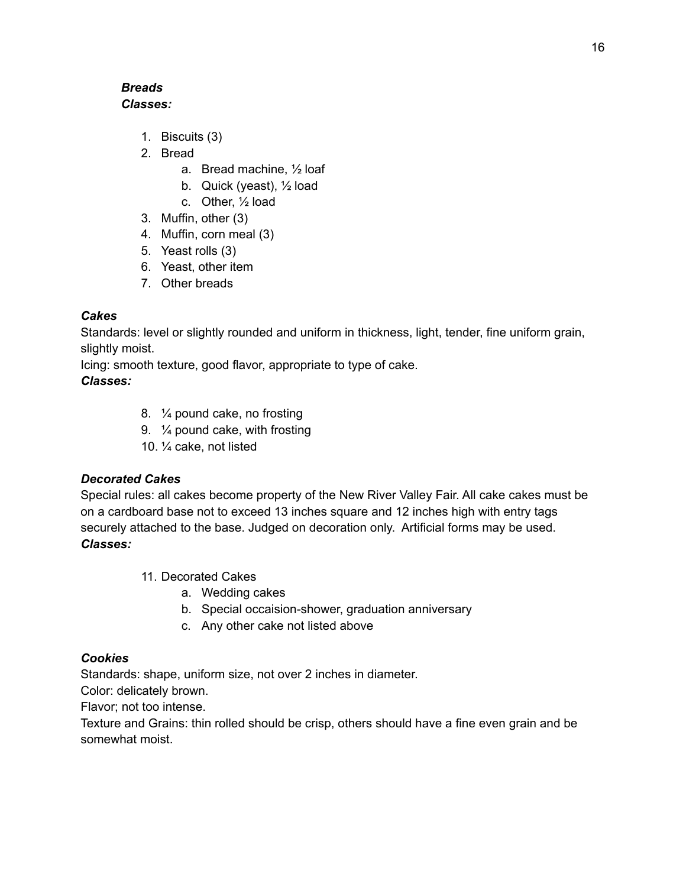### *Breads Classes:*

- 1. Biscuits (3)
- 2. Bread
	- a. Bread machine, ½ loaf
	- b. Quick (yeast), ½ load
	- c. Other, ½ load
- 3. Muffin, other (3)
- 4. Muffin, corn meal (3)
- 5. Yeast rolls (3)
- 6. Yeast, other item
- 7. Other breads

### *Cakes*

Standards: level or slightly rounded and uniform in thickness, light, tender, fine uniform grain, slightly moist.

Icing: smooth texture, good flavor, appropriate to type of cake.

# *Classes:*

- 8. ¼ pound cake, no frosting
- 9. ¼ pound cake, with frosting
- 10. ¼ cake, not listed

# *Decorated Cakes*

Special rules: all cakes become property of the New River Valley Fair. All cake cakes must be on a cardboard base not to exceed 13 inches square and 12 inches high with entry tags securely attached to the base. Judged on decoration only. Artificial forms may be used. *Classes:*

- 11. Decorated Cakes
	- a. Wedding cakes
	- b. Special occaision-shower, graduation anniversary
	- c. Any other cake not listed above

### *Cookies*

Standards: shape, uniform size, not over 2 inches in diameter.

Color: delicately brown.

Flavor; not too intense.

Texture and Grains: thin rolled should be crisp, others should have a fine even grain and be somewhat moist.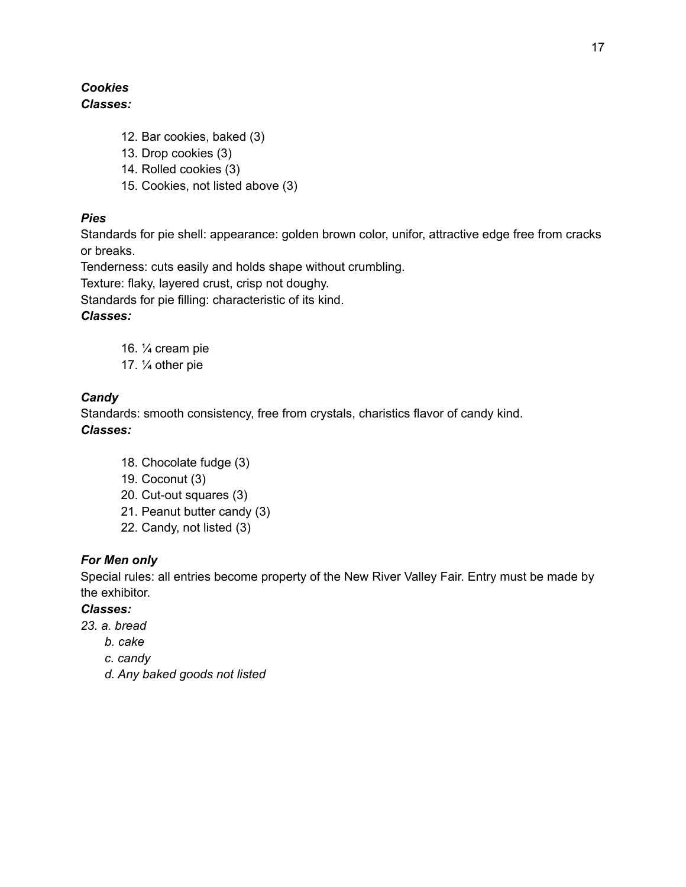### *Cookies Classes:*

- 12. Bar cookies, baked (3)
- 13. Drop cookies (3)
- 14. Rolled cookies (3)
- 15. Cookies, not listed above (3)

### *Pies*

Standards for pie shell: appearance: golden brown color, unifor, attractive edge free from cracks or breaks.

Tenderness: cuts easily and holds shape without crumbling.

Texture: flaky, layered crust, crisp not doughy.

Standards for pie filling: characteristic of its kind.

### *Classes:*

- 16. ¼ cream pie
- 17. ¼ other pie

# *Candy*

Standards: smooth consistency, free from crystals, charistics flavor of candy kind. *Classes:*

- 18. Chocolate fudge (3)
- 19. Coconut (3)
- 20. Cut-out squares (3)
- 21. Peanut butter candy (3)
- 22. Candy, not listed (3)

### *For Men only*

Special rules: all entries become property of the New River Valley Fair. Entry must be made by the exhibitor.

### *Classes:*

- *23. a. bread*
	- *b. cake*
	- *c. candy*
	- *d. Any baked goods not listed*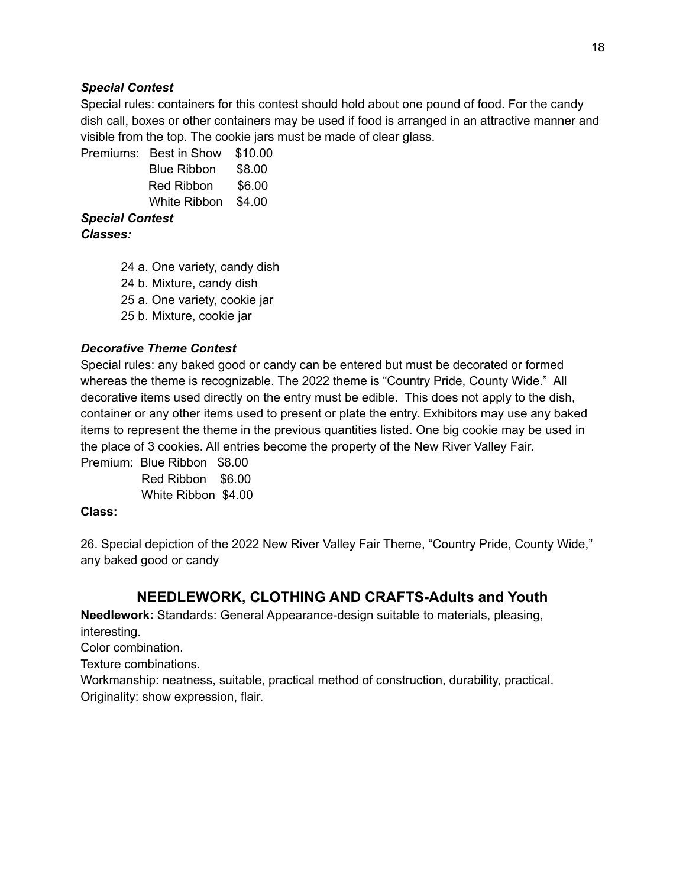#### *Special Contest*

Special rules: containers for this contest should hold about one pound of food. For the candy dish call, boxes or other containers may be used if food is arranged in an attractive manner and visible from the top. The cookie jars must be made of clear glass.

Premiums: Best in Show \$10.00 Blue Ribbon \$8.00 Red Ribbon \$6.00 White Ribbon \$4.00

*Special Contest*

*Classes:*

24 a. One variety, candy dish

24 b. Mixture, candy dish

25 a. One variety, cookie jar

25 b. Mixture, cookie jar

#### *Decorative Theme Contest*

Special rules: any baked good or candy can be entered but must be decorated or formed whereas the theme is recognizable. The 2022 theme is "Country Pride, County Wide." All decorative items used directly on the entry must be edible. This does not apply to the dish, container or any other items used to present or plate the entry. Exhibitors may use any baked items to represent the theme in the previous quantities listed. One big cookie may be used in the place of 3 cookies. All entries become the property of the New River Valley Fair.

Premium: Blue Ribbon \$8.00 Red Ribbon \$6.00 White Ribbon \$4.00

#### **Class:**

26. Special depiction of the 2022 New River Valley Fair Theme, "Country Pride, County Wide," any baked good or candy

# **NEEDLEWORK, CLOTHING AND CRAFTS-Adults and Youth**

**Needlework:** Standards: General Appearance-design suitable to materials, pleasing, interesting. Color combination. Texture combinations. Workmanship: neatness, suitable, practical method of construction, durability, practical. Originality: show expression, flair.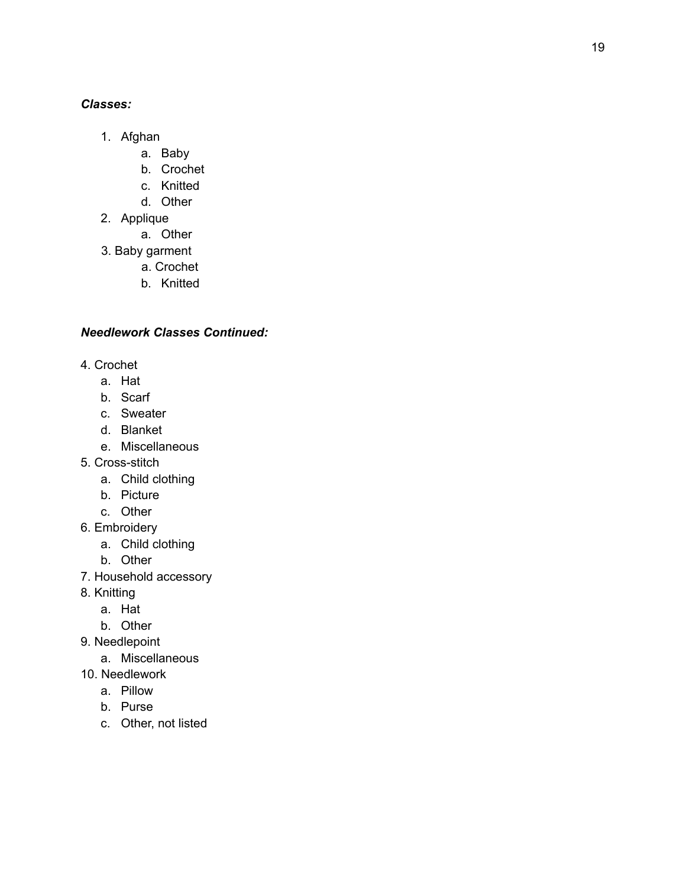#### *C la s s e s :*

- 1. A fg h a n
	- a. B a b y
	- b. Crochet
	- c. Knitted
	- d. Other
- 2. Applique
	- a. Other
- 3. Baby garment
	- a. Crochet
	- b. Knitted

### *Needlework Classes Continued:*

- 4. Crochet
	- a. Hat
	- b. Scarf
	- c. Sweater
	- d. Blanket
	- e. Miscellaneous
- 5. Cross-stitch
	- a. Child clothing
	- b. Picture
	- c. Other
- 6. Embroidery
	- a. Child clothing
	- b. Other
- 7. Household accessory
- 8. K nit tin g
	- a. Hat
	- b. Other
- 9. Needlepoint
	- a. Miscellaneous
- 10. Needlework
	- a. Pillo w
	- b. Purse
	- c. Other, not listed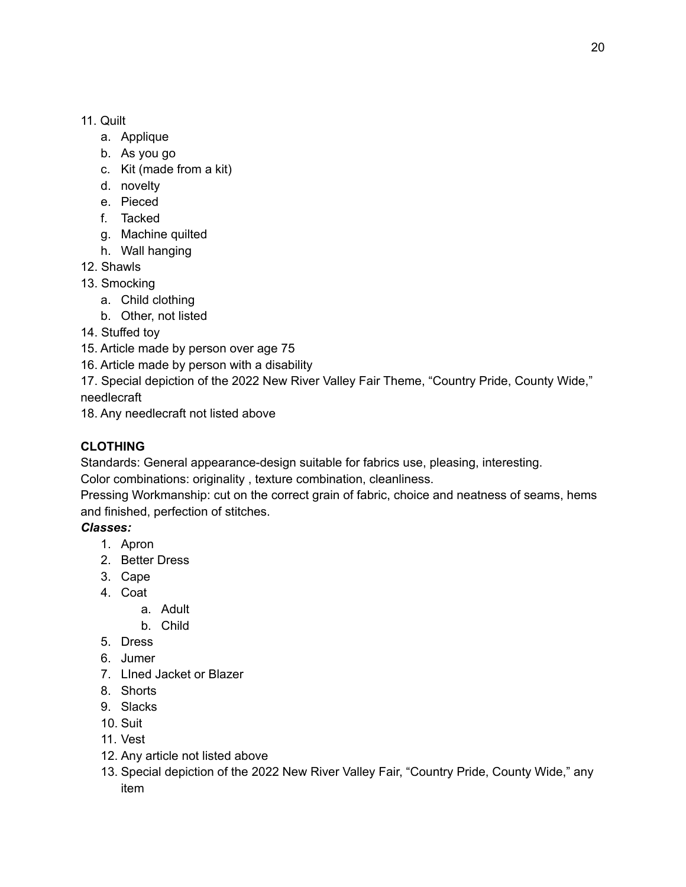### 11. Quilt

- a. Applique
- b. As you go
- c. Kit (made from a kit)
- d. novelty
- e. Pieced
- f. Tacked
- g. Machine quilted
- h. Wall hanging
- 12. Shawls
- 13. Smocking
	- a. Child clothing
	- b. Other, not listed
- 14. Stuffed toy
- 15. Article made by person over age 75
- 16. Article made by person with a disability
- 17. Special depiction of the 2022 New River Valley Fair Theme, "Country Pride, County Wide," needlecraft
- 18. Any needlecraft not listed above

# **CLOTHING**

Standards: General appearance-design suitable for fabrics use, pleasing, interesting.

Color combinations: originality , texture combination, cleanliness.

Pressing Workmanship: cut on the correct grain of fabric, choice and neatness of seams, hems and finished, perfection of stitches.

# *Classes:*

- 1. Apron
- 2. Better Dress
- 3. Cape
- 4. Coat
	- a. Adult
	- b. Child
- 5. Dress
- 6. Jumer
- 7. LIned Jacket or Blazer
- 8. Shorts
- 9. Slacks
- 10. Suit
- 11. Vest
- 12. Any article not listed above
- 13. Special depiction of the 2022 New River Valley Fair, "Country Pride, County Wide," any item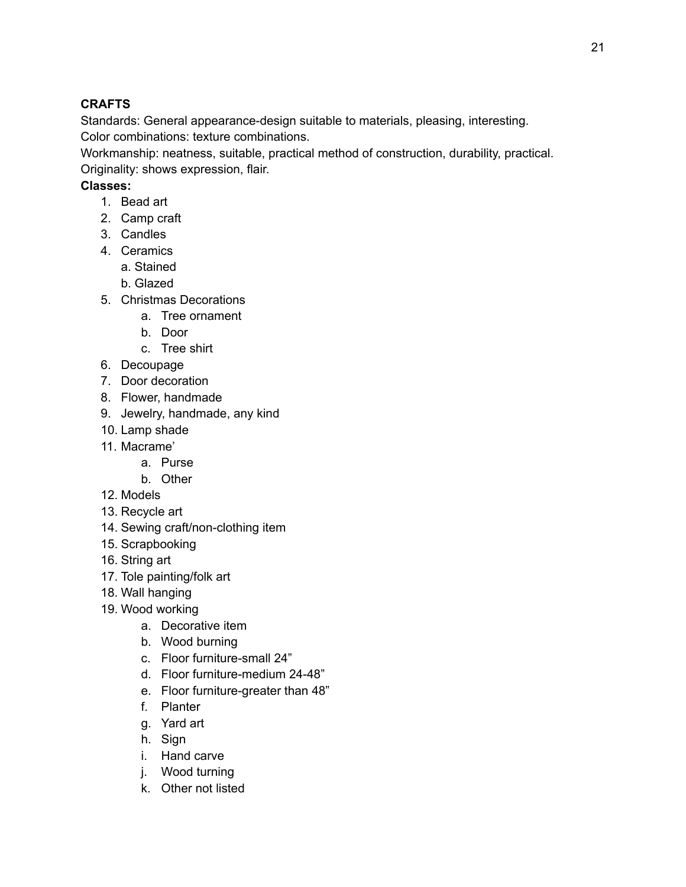# **CRAFTS**

Standards: General appearance-design suitable to materials, pleasing, interesting. Color combinations: texture combinations.

Workmanship: neatness, suitable, practical method of construction, durability, practical.

Originality: shows expression, flair.

# **Classes:**

- 1. Bead art
- 2. Camp craft
- 3. Candles
- 4. Ceramics
	- a. Stained
	- b. Glazed
- 5. Christmas Decorations
	- a. Tree ornament
	- b. Door
	- c. Tree shirt
- 6. Decoupage
- 7. Door decoration
- 8. Flower, handmade
- 9. Jewelry, handmade, any kind
- 10. Lamp shade
- 11. Macrame'
	- a. Purse
	- b. Other
- 12. Models
- 13. Recycle art
- 14. Sewing craft/non-clothing item
- 15. Scrapbooking
- 16. String art
- 17. Tole painting/folk art
- 18. Wall hanging
- 19. Wood working
	- a. Decorative item
	- b. Wood burning
	- c. Floor furniture-small 24"
	- d. Floor furniture-medium 24-48"
	- e. Floor furniture-greater than 48"
	- f. Planter
	- g. Yard art
	- h. Sign
	- i. Hand carve
	- j. Wood turning
	- k. Other not listed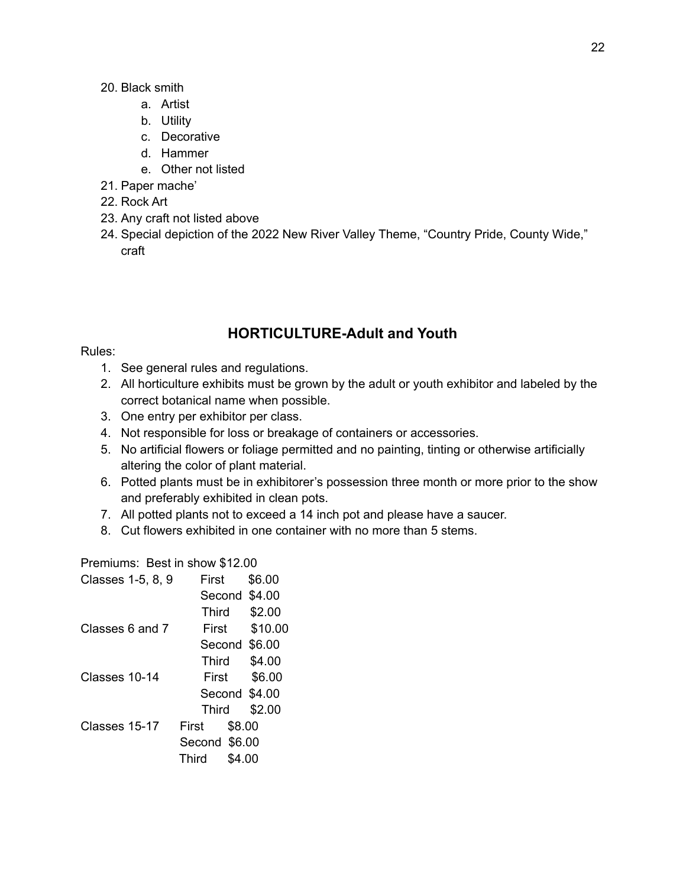- 20. Black smith
	- a. Artist
	- b. Utility
	- c. Decorative
	- d. Hammer
	- e. Other not listed
- 21. Paper mache'
- 22. Rock Art
- 23. Any craft not listed above
- 24. Special depiction of the 2022 New River Valley Theme, "Country Pride, County Wide," craft

# **HORTICULTURE-Adult and Youth**

#### Rules:

- 1. See general rules and regulations.
- 2. All horticulture exhibits must be grown by the adult or youth exhibitor and labeled by the correct botanical name when possible.
- 3. One entry per exhibitor per class.
- 4. Not responsible for loss or breakage of containers or accessories.
- 5. No artificial flowers or foliage permitted and no painting, tinting or otherwise artificially altering the color of plant material.
- 6. Potted plants must be in exhibitorer's possession three month or more prior to the show and preferably exhibited in clean pots.
- 7. All potted plants not to exceed a 14 inch pot and please have a saucer.
- 8. Cut flowers exhibited in one container with no more than 5 stems.

Premiums: Best in show \$12.00

| First | \$6.00                                                           |
|-------|------------------------------------------------------------------|
|       |                                                                  |
| Third | \$2.00                                                           |
| First | \$10.00                                                          |
|       |                                                                  |
| Third | \$4.00                                                           |
| First | \$6.00                                                           |
|       |                                                                  |
| Third | \$2.00                                                           |
| First | \$8.00                                                           |
|       |                                                                  |
| Third | \$4.00                                                           |
|       | Second \$4.00<br>Second \$6.00<br>Second \$4.00<br>Second \$6.00 |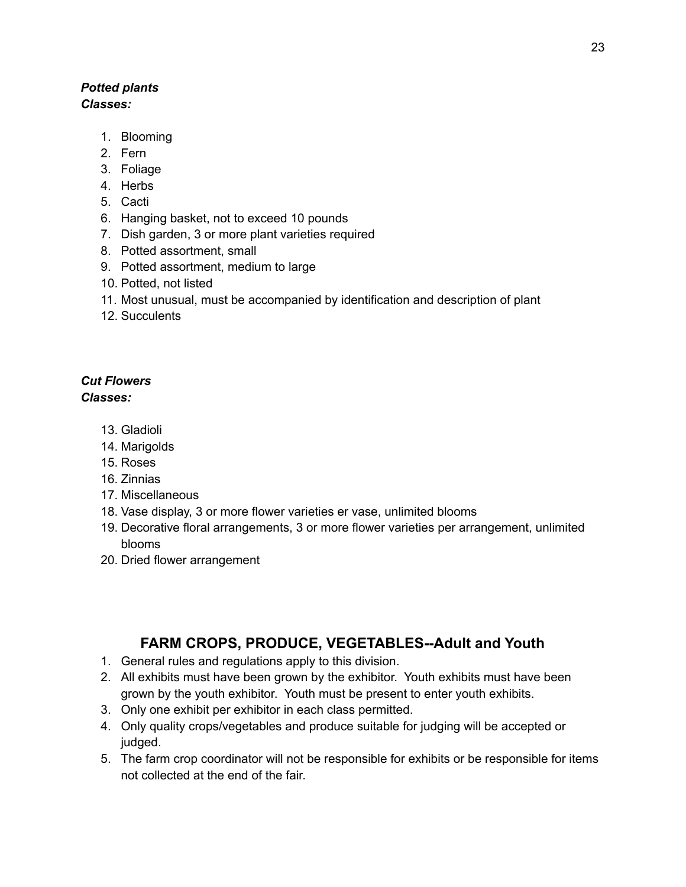### *Potted plants Classes:*

- 1. Blooming
- 2. Fern
- 3. Foliage
- 4. Herbs
- 5. Cacti
- 6. Hanging basket, not to exceed 10 pounds
- 7. Dish garden, 3 or more plant varieties required
- 8. Potted assortment, small
- 9. Potted assortment, medium to large
- 10. Potted, not listed
- 11. Most unusual, must be accompanied by identification and description of plant
- 12. Succulents

# *Cut Flowers*

*Classes:*

- 13. Gladioli
- 14. Marigolds
- 15. Roses
- 16. Zinnias
- 17. Miscellaneous
- 18. Vase display, 3 or more flower varieties er vase, unlimited blooms
- 19. Decorative floral arrangements, 3 or more flower varieties per arrangement, unlimited blooms
- 20. Dried flower arrangement

# **FARM CROPS, PRODUCE, VEGETABLES--Adult and Youth**

- 1. General rules and regulations apply to this division.
- 2. All exhibits must have been grown by the exhibitor. Youth exhibits must have been grown by the youth exhibitor. Youth must be present to enter youth exhibits.
- 3. Only one exhibit per exhibitor in each class permitted.
- 4. Only quality crops/vegetables and produce suitable for judging will be accepted or judged.
- 5. The farm crop coordinator will not be responsible for exhibits or be responsible for items not collected at the end of the fair.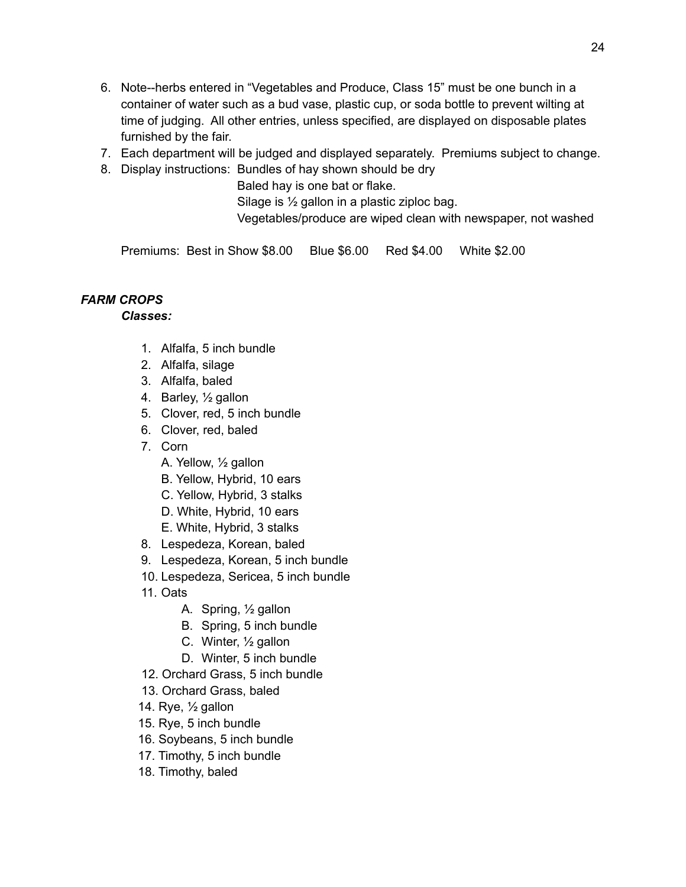- 6. Note--herbs entered in "Vegetables and Produce, Class 15" must be one bunch in a container of water such as a bud vase, plastic cup, or soda bottle to prevent wilting at time of judging. All other entries, unless specified, are displayed on disposable plates furnished by the fair.
- 7. Each department will be judged and displayed separately. Premiums subject to change.
- 8. Display instructions: Bundles of hay shown should be dry

Baled hay is one bat or flake.

Silage is ½ gallon in a plastic ziploc bag.

Vegetables/produce are wiped clean with newspaper, not washed

Premiums: Best in Show \$8.00 Blue \$6.00 Red \$4.00 White \$2.00

# *FARM CROPS*

*Classes:*

- 1. Alfalfa, 5 inch bundle
- 2. Alfalfa, silage
- 3. Alfalfa, baled
- 4. Barley, ½ gallon
- 5. Clover, red, 5 inch bundle
- 6. Clover, red, baled
- 7. Corn
	- A. Yellow, ½ gallon
	- B. Yellow, Hybrid, 10 ears
	- C. Yellow, Hybrid, 3 stalks
	- D. White, Hybrid, 10 ears
	- E. White, Hybrid, 3 stalks
- 8. Lespedeza, Korean, baled
- 9. Lespedeza, Korean, 5 inch bundle
- 10. Lespedeza, Sericea, 5 inch bundle
- 11. Oats
	- A. Spring, ½ gallon
	- B. Spring, 5 inch bundle
	- C. Winter, ½ gallon
	- D. Winter, 5 inch bundle
- 12. Orchard Grass, 5 inch bundle
- 13. Orchard Grass, baled
- 14. Rye, ½ gallon
- 15. Rye, 5 inch bundle
- 16. Soybeans, 5 inch bundle
- 17. Timothy, 5 inch bundle
- 18. Timothy, baled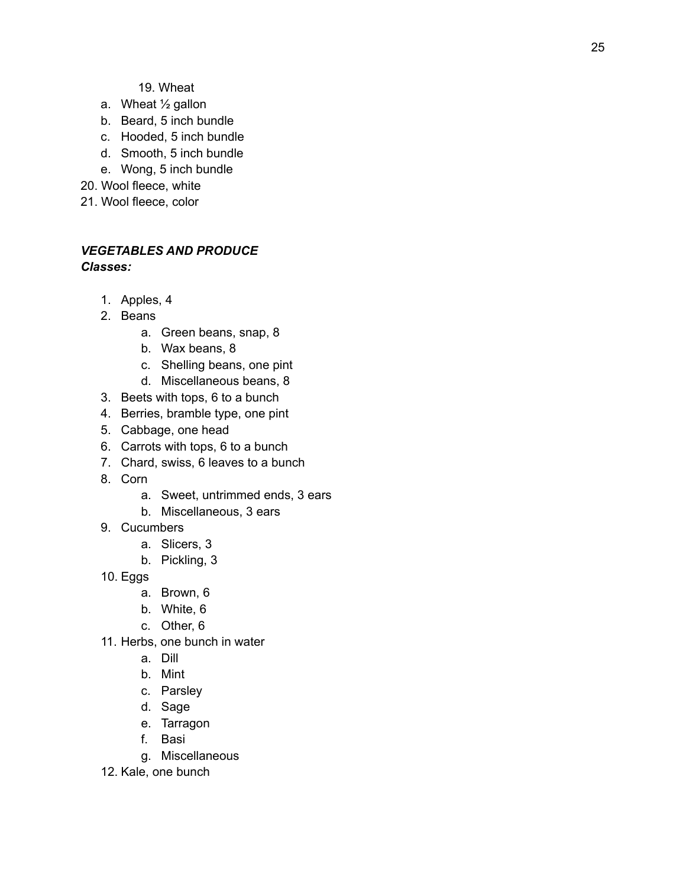- a. Wheat  $\frac{1}{2}$  gallon
- b. Beard, 5 inch bundle
- c. Hooded, 5 inch bundle
- d. Smooth, 5 inch bundle
- e. Wong, 5 inch bundle
- 2 0. W o ol fle e c e, w hit e
- 21. Wool fleece, color

### *VEGETABLES AND PRODUCE C la s s e s :*

- 1. A p ple s, 4
- 2. Beans
	- a. Green beans, snap, 8
	- b. Wax beans, 8
	- c. Shelling beans, one pint
	- d. Miscellaneous beans, 8
- 3. Beets with tops, 6 to a bunch
- 4. Berries, bramble type, one pint
- 5. Cabbage, one head
- 6. Carrots with tops, 6 to a bunch
- 7. Chard, swiss, 6 leaves to a bunch
- 8. Cori
	- n<br>a. Sweet, untrimmed ends, 3 ears
	- b. Miscellaneous, 3 ears
- 9. Cucumbers
	- a. Slicers, 3
	- b. Pic klin g, 3
- 1 0. E g g
	- <sub>l</sub>s<br>a. Brown, 6
	- b. W hit e, 6
	- c. Other, 6
- 11. Herbs, one bunch in water
	- a. Dill
	- b. Min t
	- c. Parsley
	- d. Sage
	- e. Tarragon
	- f. B a si
	- g. Miscellaneous
- 12. Kale, one bunch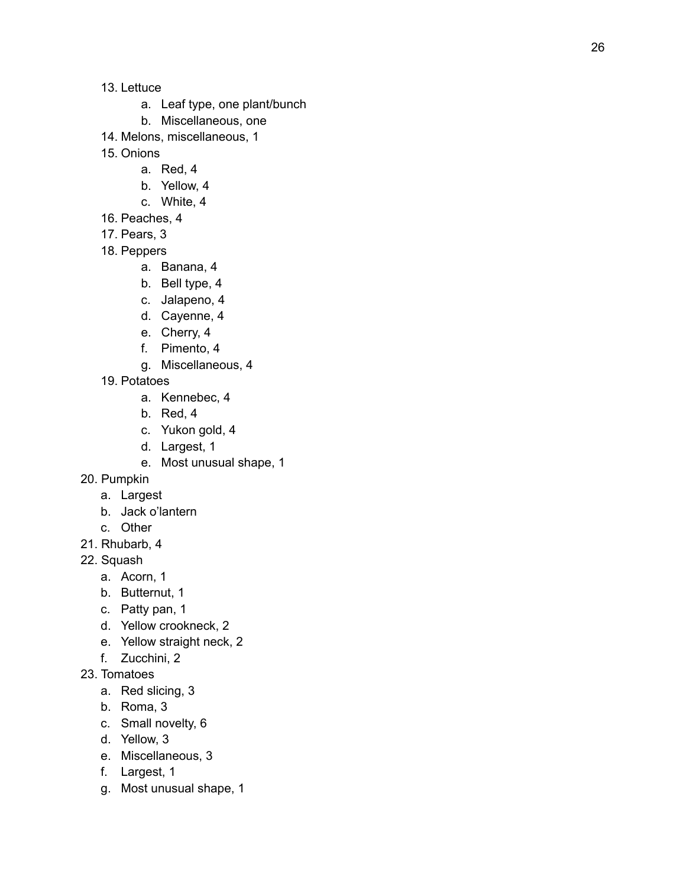- 13. Lettuce
	- a. Leaf type, one plant/bunch
	- b. Miscellaneous, one
- 14. Melons, miscellaneous, 1
- 1 5. O nio n s
	- a. R e d, 4
	- b. Yello w, 4
	- c. W hit e, 4
- 16. Peaches, 4
- 17. Pears, 3
- 18. Peppers
	- a. B a n a n a, 4
	- b. Bell type, 4
	- c. Jalapeno, 4
	- d. Cayenne, 4
	- e. Cherry, 4
	- f. Pimento, 4
	- g. Miscellaneous, 4
- 19. Potatoes
	- a. K e n n e b e c, 4
	- b. R e d, 4
	- c. Yukon gold, 4
	- d. Largest, 1
	- e. Most unusual shape, 1
- 2 0. P u m p kin
	- a. Largest
	- b. Jack o'lantern
	- c. Other
- 21. Rhubarb, 4
- 22. Squash
	- a. Acorn, 1
	- b. Butternut, 1
	- c. Patty pan, 1
	- d. Yellow crookneck, 2
	- e. Yellow straight neck, 2
	- f. Z u c c hini, 2
- 23. Tomatoes
	- a. R e d slicin g, 3
	- b. R o m a, 3
	- c. Small novelty, 6
	- d. Yello w, 3
	- e. Miscellaneous, 3
	- f. Largest, 1
	- g. Most unusual shape, 1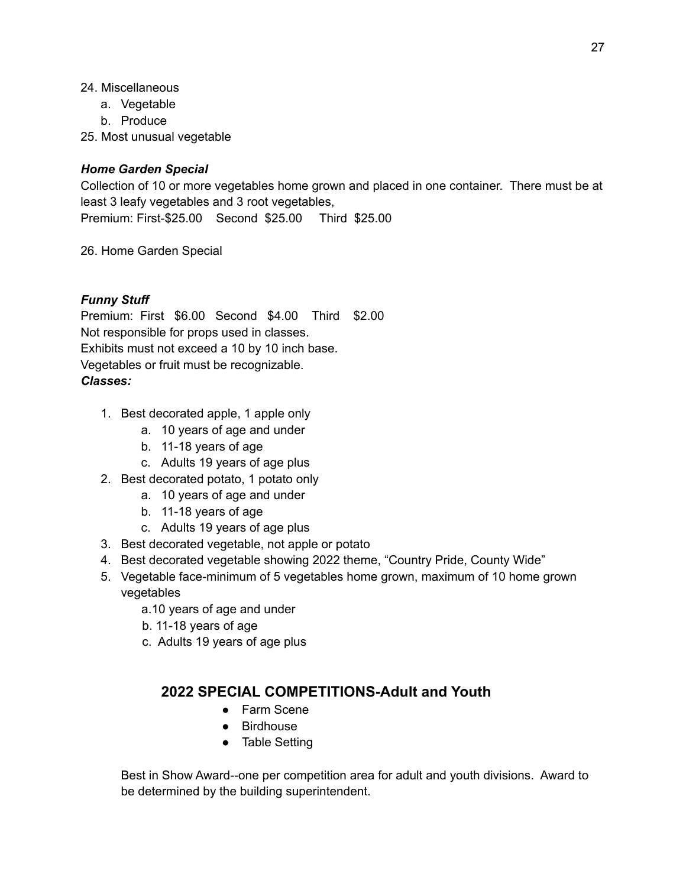- 24. Miscellaneous
	- a. Vegetable
	- b. Produce
- 25. Most unusual vegetable

#### *Home Garden Special*

Collection of 10 or more vegetables home grown and placed in one container. There must be at least 3 leafy vegetables and 3 root vegetables, Premium: First-\$25.00 Second \$25.00 Third \$25.00

26. Home Garden Special

### *Funny Stuff*

Premium: First \$6.00 Second \$4.00 Third \$2.00 Not responsible for props used in classes. Exhibits must not exceed a 10 by 10 inch base. Vegetables or fruit must be recognizable. *Classes:*

- 1. Best decorated apple, 1 apple only
	- a. 10 years of age and under
	- b. 11-18 years of age
	- c. Adults 19 years of age plus
- 2. Best decorated potato, 1 potato only
	- a. 10 years of age and under
	- b. 11-18 years of age
	- c. Adults 19 years of age plus
- 3. Best decorated vegetable, not apple or potato
- 4. Best decorated vegetable showing 2022 theme, "Country Pride, County Wide"
- 5. Vegetable face-minimum of 5 vegetables home grown, maximum of 10 home grown vegetables
	- a.10 years of age and under
	- b. 11-18 years of age
	- c. Adults 19 years of age plus

# **2022 SPECIAL COMPETITIONS-Adult and Youth**

- Farm Scene
- Birdhouse
- Table Setting

Best in Show Award--one per competition area for adult and youth divisions. Award to be determined by the building superintendent.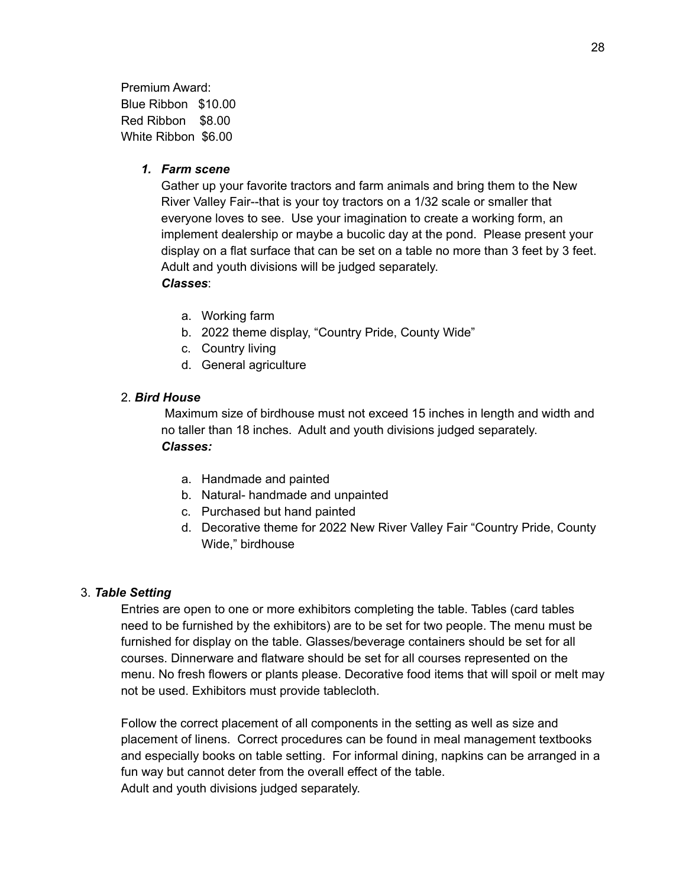Premium Award: Blue Ribbon \$10.00 Red Ribbon \$8.00 White Ribbon \$6.00

#### *1. Farm scene*

Gather up your favorite tractors and farm animals and bring them to the New River Valley Fair--that is your toy tractors on a 1/32 scale or smaller that everyone loves to see. Use your imagination to create a working form, an implement dealership or maybe a bucolic day at the pond. Please present your display on a flat surface that can be set on a table no more than 3 feet by 3 feet. Adult and youth divisions will be judged separately. *Classes*:

- a. Working farm
- b. 2022 theme display, "Country Pride, County Wide"
- c. Country living
- d. General agriculture

#### 2. *Bird House*

Maximum size of birdhouse must not exceed 15 inches in length and width and no taller than 18 inches. Adult and youth divisions judged separately. *Classes:*

- a. Handmade and painted
- b. Natural- handmade and unpainted
- c. Purchased but hand painted
- d. Decorative theme for 2022 New River Valley Fair "Country Pride, County Wide," birdhouse

#### 3. *Table Setting*

Entries are open to one or more exhibitors completing the table. Tables (card tables need to be furnished by the exhibitors) are to be set for two people. The menu must be furnished for display on the table. Glasses/beverage containers should be set for all courses. Dinnerware and flatware should be set for all courses represented on the menu. No fresh flowers or plants please. Decorative food items that will spoil or melt may not be used. Exhibitors must provide tablecloth.

Follow the correct placement of all components in the setting as well as size and placement of linens. Correct procedures can be found in meal management textbooks and especially books on table setting. For informal dining, napkins can be arranged in a fun way but cannot deter from the overall effect of the table. Adult and youth divisions judged separately.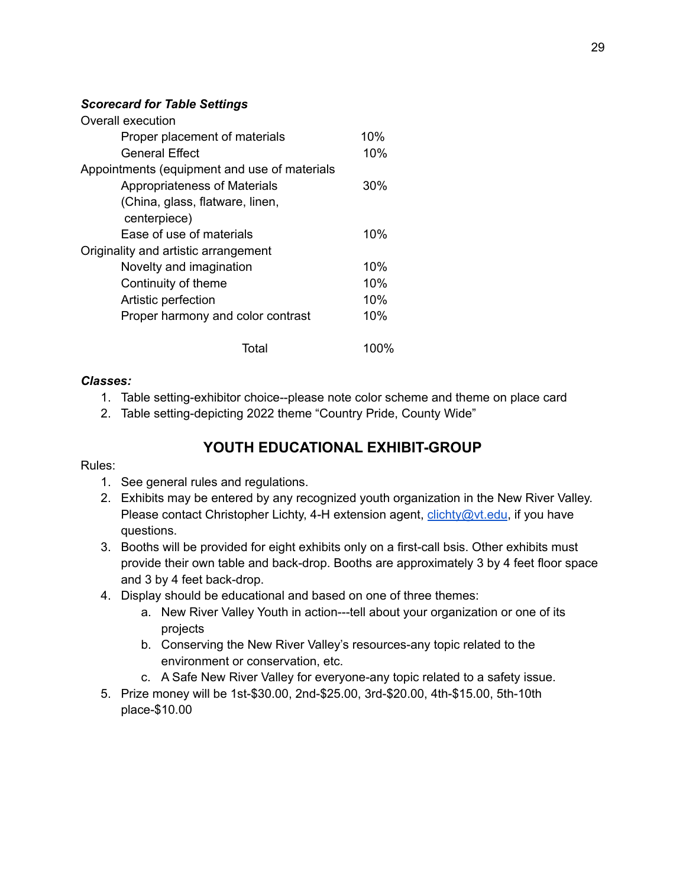#### *Scorecard for Table Settings*

| Overall execution                            |      |
|----------------------------------------------|------|
| Proper placement of materials                | 10%  |
| <b>General Effect</b>                        | 10%  |
| Appointments (equipment and use of materials |      |
| Appropriateness of Materials                 | 30%  |
| (China, glass, flatware, linen,              |      |
| centerpiece)                                 |      |
| Ease of use of materials                     | 10%  |
| Originality and artistic arrangement         |      |
| Novelty and imagination                      | 10%  |
| Continuity of theme                          | 10%  |
| Artistic perfection                          | 10%  |
| Proper harmony and color contrast            | 10%  |
| Total                                        | 100% |

#### *Classes:*

- 1. Table setting-exhibitor choice--please note color scheme and theme on place card
- 2. Table setting-depicting 2022 theme "Country Pride, County Wide"

# **YOUTH EDUCATIONAL EXHIBIT-GROUP**

#### Rules:

- 1. See general rules and regulations.
- 2. Exhibits may be entered by any recognized youth organization in the New River Valley. Please contact Christopher Lichty, 4-H extension agent, *[clichty@vt.edu](mailto:clichty@vt.edu)*, if you have questions.
- 3. Booths will be provided for eight exhibits only on a first-call bsis. Other exhibits must provide their own table and back-drop. Booths are approximately 3 by 4 feet floor space and 3 by 4 feet back-drop.
- 4. Display should be educational and based on one of three themes:
	- a. New River Valley Youth in action---tell about your organization or one of its projects
	- b. Conserving the New River Valley's resources-any topic related to the environment or conservation, etc.
	- c. A Safe New River Valley for everyone-any topic related to a safety issue.
- 5. Prize money will be 1st-\$30.00, 2nd-\$25.00, 3rd-\$20.00, 4th-\$15.00, 5th-10th place-\$10.00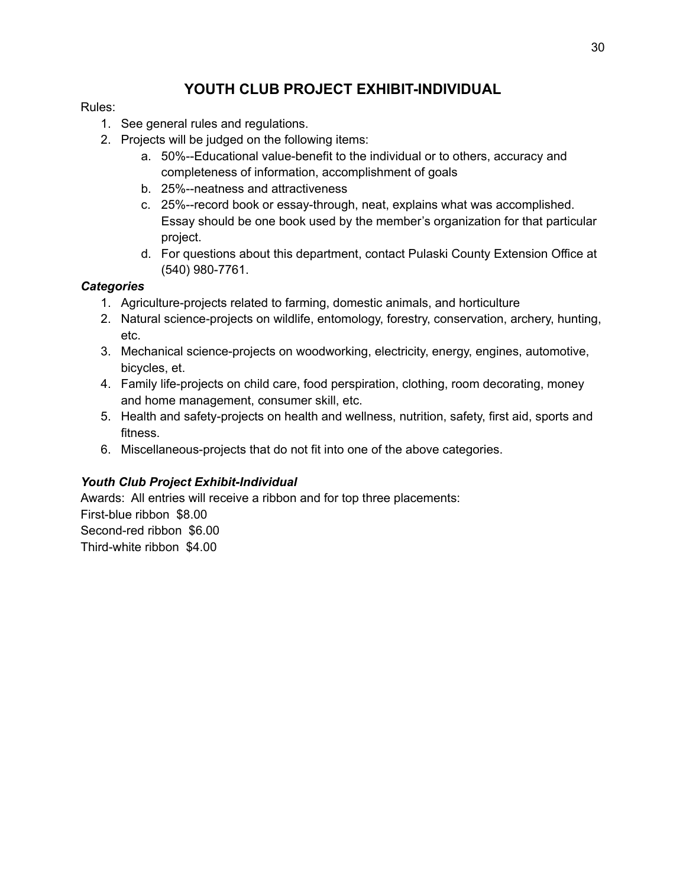# **YOUTH CLUB PROJECT EXHIBIT-INDIVIDUAL**

#### Rules:

- 1. See general rules and regulations.
- 2. Projects will be judged on the following items:
	- a. 50%--Educational value-benefit to the individual or to others, accuracy and completeness of information, accomplishment of goals
	- b. 25%--neatness and attractiveness
	- c. 25%--record book or essay-through, neat, explains what was accomplished. Essay should be one book used by the member's organization for that particular project.
	- d. For questions about this department, contact Pulaski County Extension Office at (540) 980-7761.

### *Categories*

- 1. Agriculture-projects related to farming, domestic animals, and horticulture
- 2. Natural science-projects on wildlife, entomology, forestry, conservation, archery, hunting, etc.
- 3. Mechanical science-projects on woodworking, electricity, energy, engines, automotive, bicycles, et.
- 4. Family life-projects on child care, food perspiration, clothing, room decorating, money and home management, consumer skill, etc.
- 5. Health and safety-projects on health and wellness, nutrition, safety, first aid, sports and fitness.
- 6. Miscellaneous-projects that do not fit into one of the above categories.

# *Youth Club Project Exhibit-Individual*

Awards: All entries will receive a ribbon and for top three placements: First-blue ribbon \$8.00 Second-red ribbon \$6.00 Third-white ribbon \$4.00